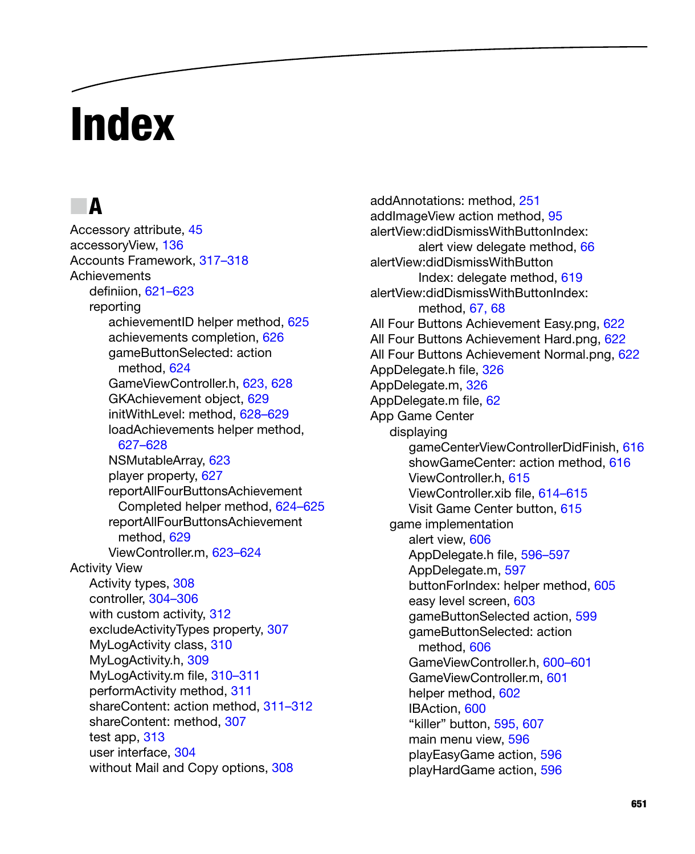# **Index**

### N **A**

Accessory attribute, 45 accessoryView, 136 Accounts Framework, 317–318 **Achievements** definiion, 621–623 reporting achievementID helper method, 625 achievements completion, 626 gameButtonSelected: action method, 624 GameViewController.h, 623, 628 GKAchievement object, 629 initWithLevel: method, 628–629 loadAchievements helper method, 627–628 NSMutableArray, 623 player property, 627 reportAllFourButtonsAchievement Completed helper method, 624–625 reportAllFourButtonsAchievement method, 629 ViewController.m, 623–624 Activity View Activity types, 308 controller, 304–306 with custom activity, 312 excludeActivityTypes property, 307 MyLogActivity class, 310 MyLogActivity.h, 309 MyLogActivity.m file, 310–311 performActivity method, 311 shareContent: action method, 311–312 shareContent: method, 307 test app, 313 user interface, 304 without Mail and Copy options, 308

addAnnotations: method, 251 addImageView action method, 95 alertView:didDismissWithButtonIndex: alert view delegate method, 66 alertView:didDismissWithButton Index: delegate method, 619 alertView:didDismissWithButtonIndex: method, 67, 68 All Four Buttons Achievement Easy.png, 622 All Four Buttons Achievement Hard.png, 622 All Four Buttons Achievement Normal.png, 622 AppDelegate.h file, 326 AppDelegate.m, 326 AppDelegate.m file, 62 App Game Center displaying gameCenterViewControllerDidFinish, 616 showGameCenter: action method, 616 ViewController.h, 615 ViewController.xib file, 614–615 Visit Game Center button, 615 game implementation alert view, 606 AppDelegate.h file, 596–597 AppDelegate.m, 597 buttonForIndex: helper method, 605 easy level screen, 603 gameButtonSelected action, 599 gameButtonSelected: action method, 606 GameViewController.h, 600–601 GameViewController.m, 601 helper method, 602 IBAction, 600 "killer" button, 595, 607 main menu view, 596 playEasyGame action, 596 playHardGame action, 596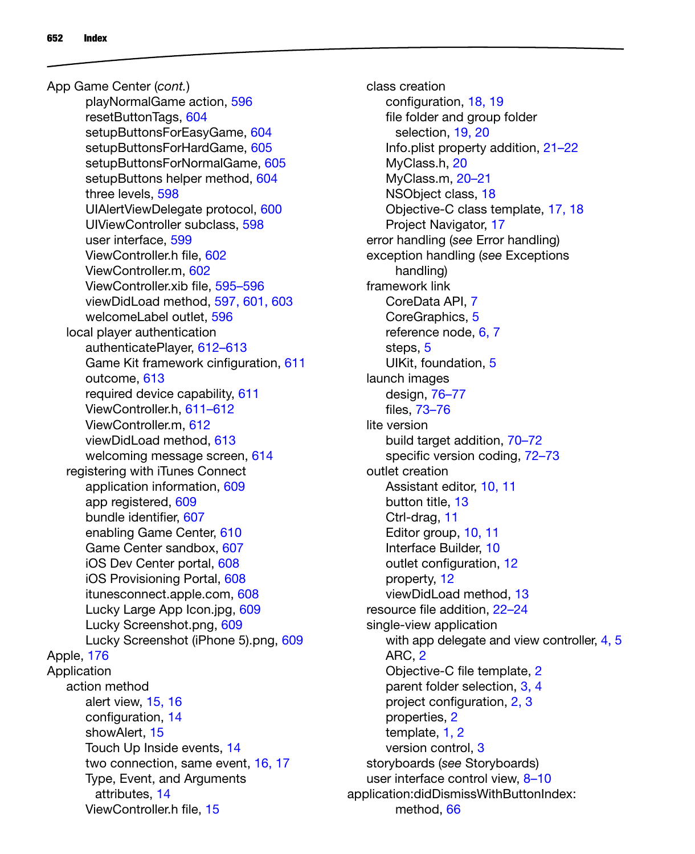playNormalGame action, 596 resetButtonTags, 604 setupButtonsForEasyGame, 604 setupButtonsForHardGame, 605 setupButtonsForNormalGame, 605 setupButtons helper method, 604 three levels, 598 UIAlertViewDelegate protocol, 600 UIViewController subclass, 598 user interface, 599 ViewController.h file, 602 ViewController.m, 602 ViewController.xib file, 595–596 viewDidLoad method, 597, 601, 603 welcomeLabel outlet, 596 local player authentication authenticatePlayer, 612–613 Game Kit framework cinfiguration, 611 outcome, 613 required device capability, 611 ViewController.h, 611–612 ViewController.m, 612 viewDidLoad method, 613 welcoming message screen, 614 registering with iTunes Connect application information, 609 app registered, 609 bundle identifier, 607 enabling Game Center, 610 Game Center sandbox, 607 iOS Dev Center portal, 608 iOS Provisioning Portal, 608 itunesconnect.apple.com, 608 Lucky Large App Icon.jpg, 609 Lucky Screenshot.png, 609 Lucky Screenshot (iPhone 5).png, 609 Apple, 176 **Application** action method alert view, 15, 16 configuration, 14 showAlert<sub>15</sub> Touch Up Inside events, 14 two connection, same event, 16, 17 Type, Event, and Arguments attributes, 14 ViewController.h file, 15 App Game Center (*cont.*)

class creation configuration, 18, 19 file folder and group folder selection, 19, 20 Info.plist property addition, 21–22 MyClass.h, 20 MyClass.m, 20–21 NSObject class, 18 Objective-C class template, 17, 18 Project Navigator, 17 error handling (*see* Error handling) exception handling (*see* Exceptions handling) framework link CoreData API, 7 CoreGraphics, 5 reference node, 6, 7 steps, 5 UIKit, foundation, 5 launch images design, 76–77 files, 73–76 lite version build target addition, 70–72 specific version coding, 72–73 outlet creation Assistant editor, 10, 11 button title, 13 Ctrl-drag, 11 Editor group, 10, 11 Interface Builder, 10 outlet configuration, 12 property, 12 viewDidLoad method, 13 resource file addition, 22–24 single-view application with app delegate and view controller, 4, 5 ARC, 2 Objective-C file template, 2 parent folder selection, 3, 4 project configuration, 2, 3 properties, 2 template, 1, 2 version control, 3 storyboards (*see* Storyboards) user interface control view, 8–10 application:didDismissWithButtonIndex: method, 66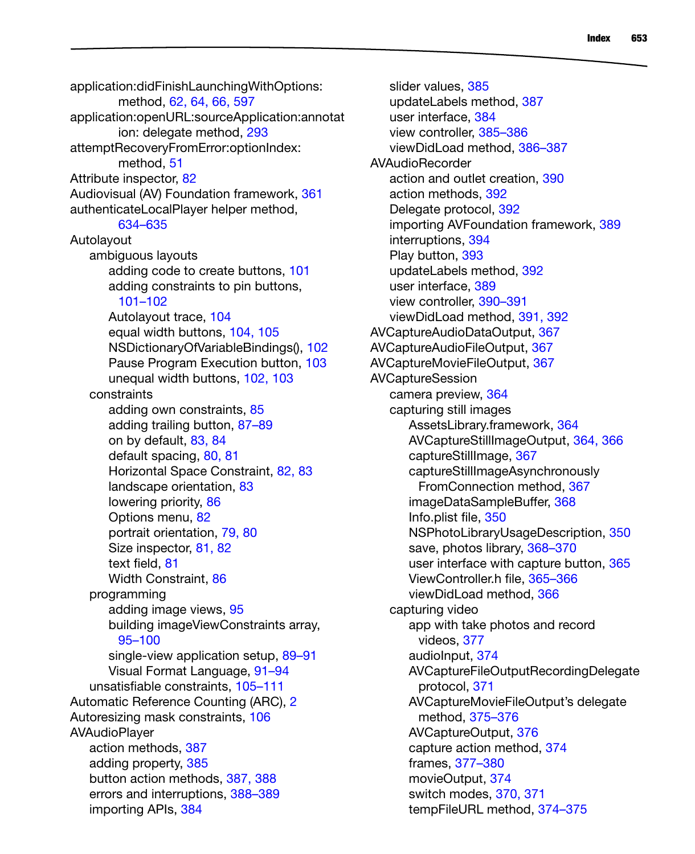application:didFinishLaunchingWithOptions: method, 62, 64, 66, 597 application:openURL:sourceApplication:annotat ion: delegate method, 293 attemptRecoveryFromError:optionIndex: method, 51 Attribute inspector, 82 Audiovisual (AV) Foundation framework, 361 authenticateLocalPlayer helper method, 634–635 Autolayout ambiguous layouts adding code to create buttons, 101 adding constraints to pin buttons, 101–102 Autolayout trace, 104 equal width buttons, 104, 105 NSDictionaryOfVariableBindings(), 102 Pause Program Execution button, 103 unequal width buttons, 102, 103 constraints adding own constraints, 85 adding trailing button, 87–89 on by default, 83, 84 default spacing, 80, 81 Horizontal Space Constraint, 82, 83 landscape orientation, 83 lowering priority, 86 Options menu, 82 portrait orientation, 79, 80 Size inspector, 81, 82 text field, 81 Width Constraint, 86 programming adding image views, 95 building imageViewConstraints array, 95–100 single-view application setup, 89-91 Visual Format Language, 91–94 unsatisfiable constraints, 105–111 Automatic Reference Counting (ARC), 2 Autoresizing mask constraints, 106 AVAudioPlayer action methods, 387 adding property, 385 button action methods, 387, 388 errors and interruptions, 388–389 importing APIs, 384

slider values, 385 updateLabels method, 387 user interface, 384 view controller, 385–386 viewDidLoad method, 386–387 AVAudioRecorder action and outlet creation, 390 action methods, 392 Delegate protocol, 392 importing AVFoundation framework, 389 interruptions, 394 Play button, 393 updateLabels method, 392 user interface, 389 view controller, 390–391 viewDidLoad method, 391, 392 AVCaptureAudioDataOutput, 367 AVCaptureAudioFileOutput, 367 AVCaptureMovieFileOutput, 367 AVCaptureSession camera preview, 364 capturing still images AssetsLibrary.framework, 364 AVCaptureStillImageOutput, 364, 366 captureStillImage, 367 captureStillImageAsynchronously FromConnection method, 367 imageDataSampleBuffer, 368 Info.plist file, 350 NSPhotoLibraryUsageDescription, 350 save, photos library, 368–370 user interface with capture button, 365 ViewController.h file, 365–366 viewDidLoad method, 366 capturing video app with take photos and record videos, 377 audioInput, 374 AVCaptureFileOutputRecordingDelegate protocol, 371 AVCaptureMovieFileOutput's delegate method, 375–376 AVCaptureOutput, 376 capture action method, 374 frames, 377–380 movieOutput, 374 switch modes, 370, 371 tempFileURL method, 374–375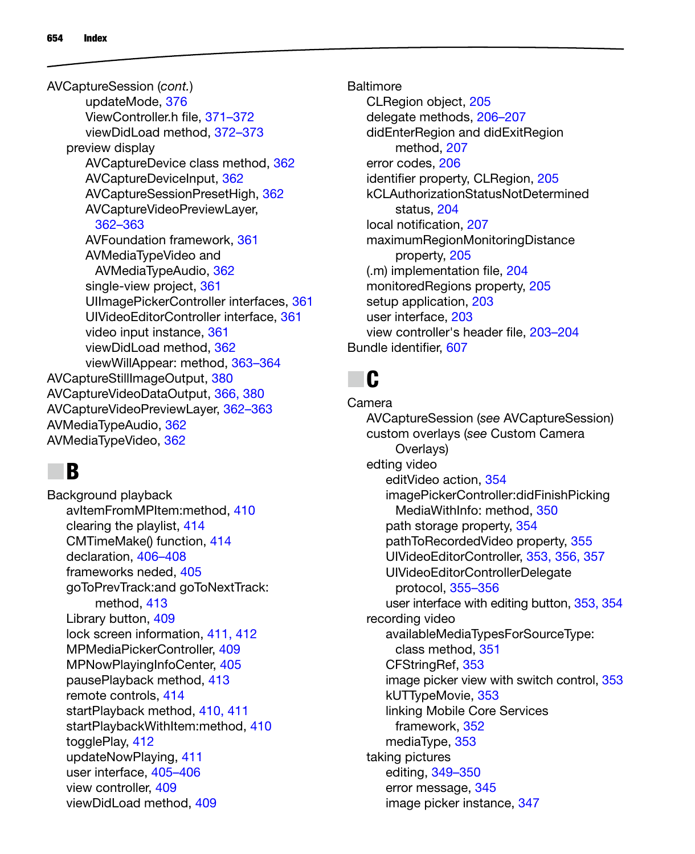updateMode, 376 ViewController.h file, 371–372 viewDidLoad method, 372–373 preview display AVCaptureDevice class method, 362 AVCaptureDeviceInput, 362 AVCaptureSessionPresetHigh, 362 AVCaptureVideoPreviewLayer, 362–363 AVFoundation framework, 361 AVMediaTypeVideo and AVMediaTypeAudio, 362 single-view project, 361 UIImagePickerController interfaces, 361 UIVideoEditorController interface, 361 video input instance, 361 viewDidLoad method, 362 viewWillAppear: method, 363–364 AVCaptureStillImageOutput, 380 AVCaptureVideoDataOutput, 366, 380 AVCaptureVideoPreviewLayer, 362–363 AVMediaTypeAudio, 362 AVMediaTypeVideo, 362 AVCaptureSession (*cont.*)

## N **B**

Background playback avItemFromMPItem:method, 410 clearing the playlist, 414 CMTimeMake() function, 414 declaration, 406–408 frameworks neded, 405 goToPrevTrack:and goToNextTrack: method, 413 Library button, 409 lock screen information, 411, 412 MPMediaPickerController, 409 MPNowPlayingInfoCenter, 405 pausePlayback method, 413 remote controls, 414 startPlayback method, 410, 411 startPlaybackWithItem:method, 410 togglePlay, 412 updateNowPlaying, 411 user interface, 405–406 view controller, 409 viewDidLoad method, 409

**Baltimore** CLRegion object, 205 delegate methods, 206–207 didEnterRegion and didExitRegion method, 207 error codes, 206 identifier property, CLRegion, 205 kCLAuthorizationStatusNotDetermined status, 204 local notification, 207 maximumRegionMonitoringDistance property, 205 (.m) implementation file, 204 monitoredRegions property, 205 setup application, 203 user interface, 203 view controller's header file, 203–204 Bundle identifier, 607

# N **C**

Camera AVCaptureSession (*see* AVCaptureSession) custom overlays (*see* Custom Camera Overlays) edting video editVideo action, 354 imagePickerController:didFinishPicking MediaWithInfo: method, 350 path storage property, 354 pathToRecordedVideo property, 355 UIVideoEditorController, 353, 356, 357 UIVideoEditorControllerDelegate protocol, 355–356 user interface with editing button, 353, 354 recording video availableMediaTypesForSourceType: class method, 351 CFStringRef, 353 image picker view with switch control, 353 kUTTypeMovie, 353 linking Mobile Core Services framework, 352 mediaType, 353 taking pictures editing, 349–350 error message, 345 image picker instance, 347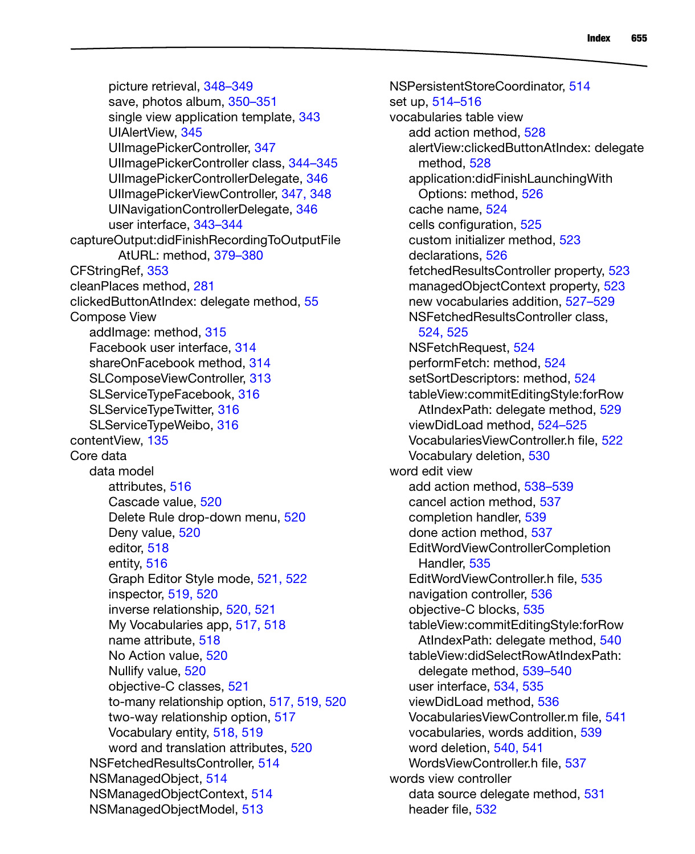picture retrieval, 348–349 save, photos album, 350–351 single view application template, 343 UIAlertView, 345 UIImagePickerController, 347 UIImagePickerController class, 344–345 UIImagePickerControllerDelegate, 346 UIImagePickerViewController, 347, 348 UINavigationControllerDelegate, 346 user interface, 343–344 captureOutput:didFinishRecordingToOutputFile AtURL: method, 379–380 CFStringRef, 353 cleanPlaces method, 281 clickedButtonAtIndex: delegate method, 55 Compose View addImage: method, 315 Facebook user interface, 314 shareOnFacebook method, 314 SLComposeViewController, 313 SLServiceTypeFacebook, 316 SLServiceTypeTwitter, 316 SLServiceTypeWeibo, 316 contentView, 135 Core data data model attributes, 516 Cascade value, 520 Delete Rule drop-down menu, 520 Deny value, 520 editor, 518 entity, 516 Graph Editor Style mode, 521, 522 inspector, 519, 520 inverse relationship, 520, 521 My Vocabularies app, 517, 518 name attribute, 518 No Action value, 520 Nullify value, 520 objective-C classes, 521 to-many relationship option, 517, 519, 520 two-way relationship option, 517 Vocabulary entity, 518, 519 word and translation attributes, 520 NSFetchedResultsController, 514 NSManagedObject, 514 NSManagedObjectContext, 514 NSManagedObjectModel, 513

NSPersistentStoreCoordinator, 514 set up, 514–516 vocabularies table view add action method, 528 alertView:clickedButtonAtIndex: delegate method, 528 application:didFinishLaunchingWith Options: method, 526 cache name, 524 cells configuration, 525 custom initializer method, 523 declarations, 526 fetchedResultsController property, 523 managedObjectContext property, 523 new vocabularies addition, 527–529 NSFetchedResultsController class, 524, 525 NSFetchRequest, 524 performFetch: method, 524 setSortDescriptors: method, 524 tableView:commitEditingStyle:forRow AtIndexPath: delegate method, 529 viewDidLoad method, 524–525 VocabulariesViewController.h file, 522 Vocabulary deletion, 530 word edit view add action method, 538–539 cancel action method, 537 completion handler, 539 done action method, 537 EditWordViewControllerCompletion Handler, 535 EditWordViewController.h file, 535 navigation controller, 536 objective-C blocks, 535 tableView:commitEditingStyle:forRow AtIndexPath: delegate method, 540 tableView:didSelectRowAtIndexPath: delegate method, 539–540 user interface, 534, 535 viewDidLoad method, 536 VocabulariesViewController.m file, 541 vocabularies, words addition, 539 word deletion, 540, 541 WordsViewController.h file, 537 words view controller data source delegate method, 531 header file, 532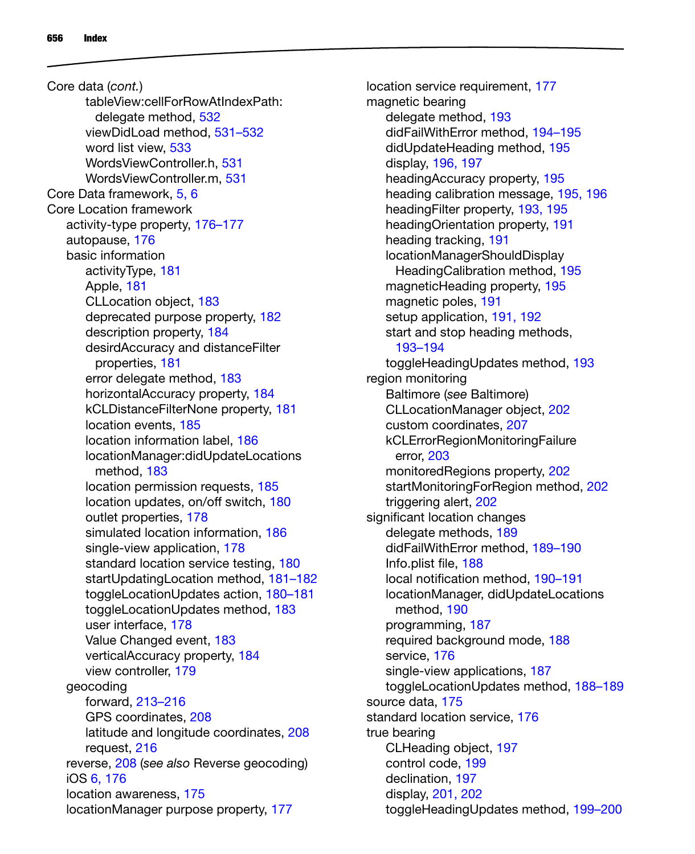tableView:cellForRowAtIndexPath: delegate method, 532 viewDidLoad method, 531–532 word list view, 533 WordsViewController.h, 531 WordsViewController.m, 531 Core Data framework, 5, 6 Core Location framework activity-type property, 176–177 autopause, 176 basic information activityType, 181 Apple, 181 CLLocation object, 183 deprecated purpose property, 182 description property, 184 desirdAccuracy and distanceFilter properties, 181 error delegate method, 183 horizontalAccuracy property, 184 kCLDistanceFilterNone property, 181 location events, 185 location information label, 186 locationManager:didUpdateLocations method, 183 location permission requests, 185 location updates, on/off switch, 180 outlet properties, 178 simulated location information, 186 single-view application, 178 standard location service testing, 180 startUpdatingLocation method, 181–182 toggleLocationUpdates action, 180–181 toggleLocationUpdates method, 183 user interface, 178 Value Changed event, 183 verticalAccuracy property, 184 view controller, 179 geocoding forward, 213–216 GPS coordinates, 208 latitude and longitude coordinates, 208 request, 216 reverse, 208 (*see also* Reverse geocoding) iOS 6, 176 location awareness, 175 locationManager purpose property, 177 Core data (*cont.*)

location service requirement, 177 magnetic bearing delegate method, 193 didFailWithError method, 194–195 didUpdateHeading method, 195 display, 196, 197 headingAccuracy property, 195 heading calibration message, 195, 196 headingFilter property, 193, 195 headingOrientation property, 191 heading tracking, 191 locationManagerShouldDisplay HeadingCalibration method, 195 magneticHeading property, 195 magnetic poles, 191 setup application, 191, 192 start and stop heading methods, 193–194 toggleHeadingUpdates method, 193 region monitoring Baltimore (*see* Baltimore) CLLocationManager object, 202 custom coordinates, 207 kCLErrorRegionMonitoringFailure error, 203 monitoredRegions property, 202 startMonitoringForRegion method, 202 triggering alert, 202 significant location changes delegate methods, 189 didFailWithError method, 189–190 Info.plist file, 188 local notification method, 190–191 locationManager, didUpdateLocations method, 190 programming, 187 required background mode, 188 service, 176 single-view applications, 187 toggleLocationUpdates method, 188–189 source data, 175 standard location service, 176 true bearing CLHeading object, 197 control code, 199 declination, 197 display, 201, 202 toggleHeadingUpdates method, 199–200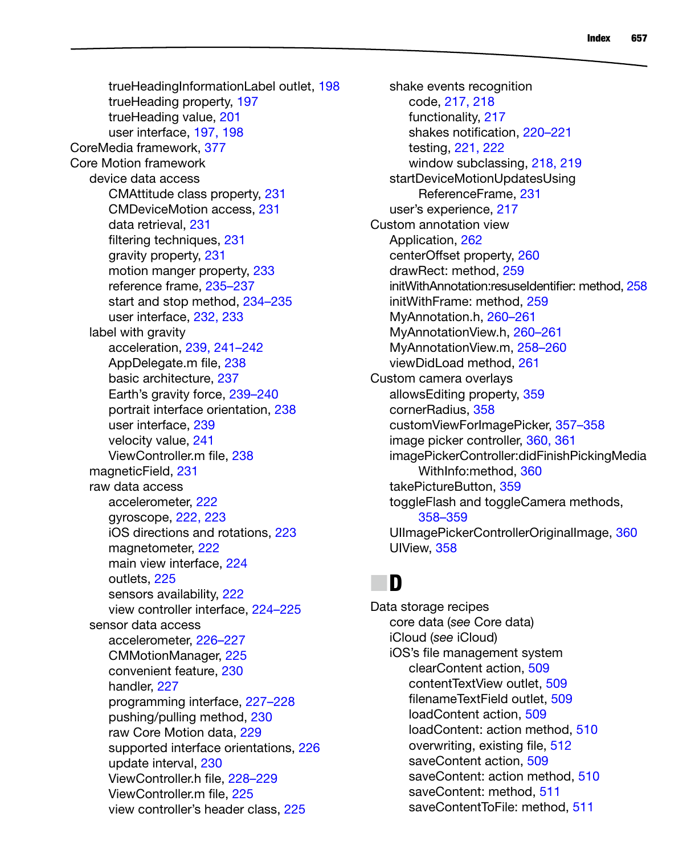trueHeadingInformationLabel outlet, 198 trueHeading property, 197 trueHeading value, 201 user interface, 197, 198 CoreMedia framework, 377 Core Motion framework device data access CMAttitude class property, 231 CMDeviceMotion access, 231 data retrieval, 231 filtering techniques, 231 gravity property, 231 motion manger property, 233 reference frame, 235–237 start and stop method, 234–235 user interface, 232, 233 label with gravity acceleration, 239, 241–242 AppDelegate.m file, 238 basic architecture, 237 Earth's gravity force, 239–240 portrait interface orientation, 238 user interface, 239 velocity value, 241 ViewController.m file, 238 magneticField, 231 raw data access accelerometer, 222 gyroscope, 222, 223 iOS directions and rotations, 223 magnetometer, 222 main view interface, 224 outlets, 225 sensors availability, 222 view controller interface, 224–225 sensor data access accelerometer, 226–227 CMMotionManager, 225 convenient feature, 230 handler, 227 programming interface, 227–228 pushing/pulling method, 230 raw Core Motion data, 229 supported interface orientations, 226 update interval, 230 ViewController.h file, 228–229 ViewController.m file, 225 view controller's header class, 225

shake events recognition code, 217, 218 functionality, 217 shakes notification, 220–221 testing, 221, 222 window subclassing, 218, 219 startDeviceMotionUpdatesUsing ReferenceFrame, 231 user's experience, 217 Custom annotation view Application, 262 centerOffset property, 260 drawRect: method, 259 initWithAnnotation:resuseIdentifier: method, 258 initWithFrame: method, 259 MyAnnotation.h, 260–261 MyAnnotationView.h, 260–261 MyAnnotationView.m, 258–260 viewDidLoad method, 261 Custom camera overlays allowsEditing property, 359 cornerRadius, 358 customViewForImagePicker, 357–358 image picker controller, 360, 361 imagePickerController:didFinishPickingMedia WithInfo:method, 360 takePictureButton, 359 toggleFlash and toggleCamera methods, 358–359 UIImagePickerControllerOriginalImage, 360 UIView, 358

## N **D**

Data storage recipes core data (*see* Core data) iCloud (*see* iCloud) iOS's file management system clearContent action, 509 contentTextView outlet, 509 filenameTextField outlet, 509 loadContent action, 509 loadContent: action method, 510 overwriting, existing file, 512 saveContent action, 509 saveContent: action method, 510 saveContent: method, 511 saveContentToFile: method, 511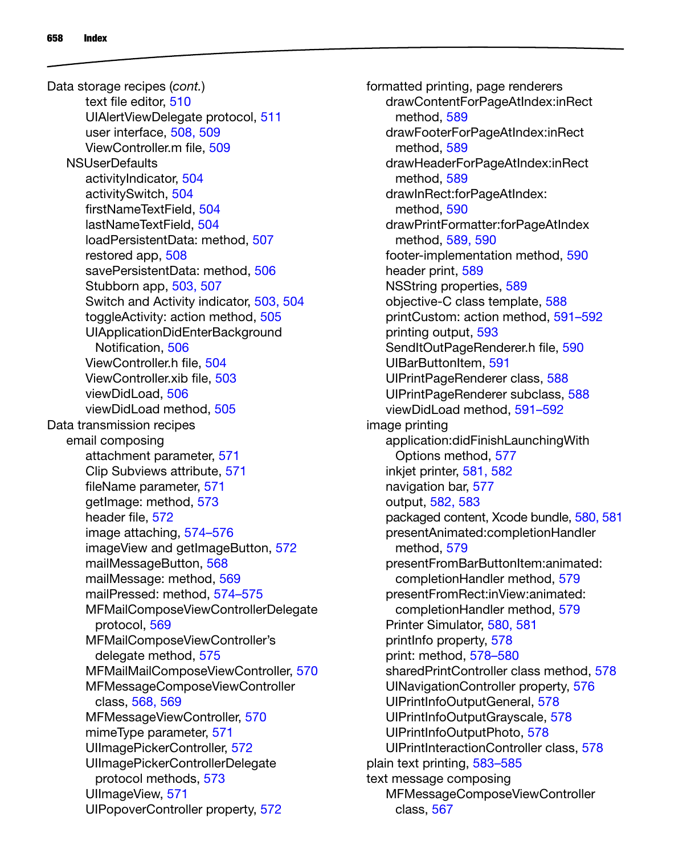text file editor, 510 UIAlertViewDelegate protocol, 511 user interface, 508, 509 ViewController.m file, 509 NSUserDefaults activityIndicator, 504 activitySwitch, 504 firstNameTextField, 504 lastNameTextField, 504 loadPersistentData: method, 507 restored app, 508 savePersistentData: method, 506 Stubborn app, 503, 507 Switch and Activity indicator, 503, 504 toggleActivity: action method, 505 UIApplicationDidEnterBackground Notification, 506 ViewController.h file, 504 ViewController.xib file, 503 viewDidLoad, 506 viewDidLoad method, 505 Data transmission recipes email composing attachment parameter, 571 Clip Subviews attribute, 571 fileName parameter, 571 getImage: method, 573 header file, 572 image attaching, 574–576 imageView and getImageButton, 572 mailMessageButton, 568 mailMessage: method, 569 mailPressed: method, 574–575 MFMailComposeViewControllerDelegate protocol, 569 MFMailComposeViewController's delegate method, 575 MFMailMailComposeViewController, 570 MFMessageComposeViewController class, 568, 569 MFMessageViewController, 570 mimeType parameter, 571 UIImagePickerController, 572 UIImagePickerControllerDelegate protocol methods, 573 UllmageView, 571 UIPopoverController property, 572 Data storage recipes (*cont.*)

formatted printing, page renderers drawContentForPageAtIndex:inRect method, 589 drawFooterForPageAtIndex:inRect method, 589 drawHeaderForPageAtIndex:inRect method, 589 drawInRect:forPageAtIndex: method, 590 drawPrintFormatter:forPageAtIndex method, 589, 590 footer-implementation method, 590 header print, 589 NSString properties, 589 objective-C class template, 588 printCustom: action method, 591–592 printing output, 593 SendItOutPageRenderer.h file, 590 UIBarButtonItem, 591 UIPrintPageRenderer class, 588 UIPrintPageRenderer subclass, 588 viewDidLoad method, 591–592 image printing application:didFinishLaunchingWith Options method, 577 inkjet printer, 581, 582 navigation bar, 577 output, 582, 583 packaged content, Xcode bundle, 580, 581 presentAnimated:completionHandler method, 579 presentFromBarButtonItem:animated: completionHandler method, 579 presentFromRect:inView:animated: completionHandler method, 579 Printer Simulator, 580, 581 printInfo property, 578 print: method, 578–580 sharedPrintController class method, 578 UINavigationController property, 576 UIPrintInfoOutputGeneral, 578 UIPrintInfoOutputGrayscale, 578 UIPrintInfoOutputPhoto, 578 UIPrintInteractionController class, 578 plain text printing, 583–585 text message composing MFMessageComposeViewController class, 567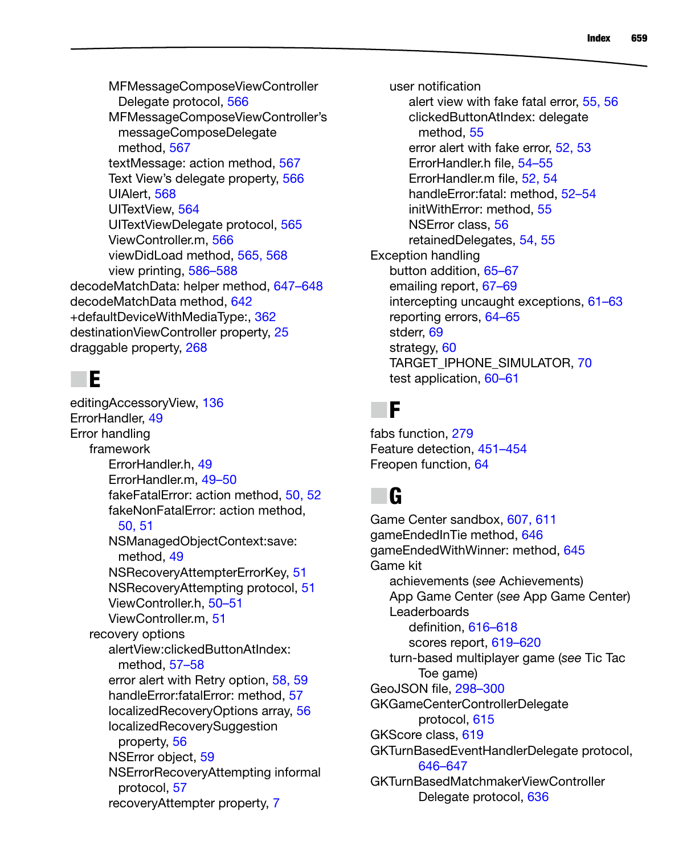MFMessageComposeViewController Delegate protocol, 566 MFMessageComposeViewController's messageComposeDelegate method, 567 textMessage: action method, 567 Text View's delegate property, 566 UIAlert, 568 UITextView, 564 UITextViewDelegate protocol, 565 ViewController.m, 566 viewDidLoad method, 565, 568 view printing, 586–588 decodeMatchData: helper method, 647–648 decodeMatchData method, 642 +defaultDeviceWithMediaType:, 362 destinationViewController property, 25 draggable property, 268

#### N **E**

editingAccessoryView, 136 ErrorHandler, 49 Error handling framework ErrorHandler.h, 49 ErrorHandler.m, 49–50 fakeFatalError: action method, 50, 52 fakeNonFatalError: action method, 50, 51 NSManagedObjectContext:save: method, 49 NSRecoveryAttempterErrorKey, 51 NSRecoveryAttempting protocol, 51 ViewController.h, 50–51 ViewController.m, 51 recovery options alertView:clickedButtonAtIndex: method, 57–58 error alert with Retry option, 58, 59 handleError:fatalError: method, 57 localizedRecoveryOptions array, 56 localizedRecoverySuggestion property, 56 NSError object, 59 NSErrorRecoveryAttempting informal protocol, 57 recoveryAttempter property, 7

user notification alert view with fake fatal error, 55, 56 clickedButtonAtIndex: delegate method, 55 error alert with fake error, 52, 53 ErrorHandler.h file, 54–55 ErrorHandler.m file, 52, 54 handleError:fatal: method, 52–54 initWithError: method, 55 NSError class, 56 retainedDelegates, 54, 55 Exception handling button addition, 65–67 emailing report, 67–69 intercepting uncaught exceptions, 61–63 reporting errors, 64–65 stderr, 69 strategy, 60 TARGET\_IPHONE\_SIMULATOR, 70 test application, 60–61

#### N **F**

fabs function, 279 Feature detection, 451–454 Freopen function, 64

#### N **G**

Game Center sandbox, 607, 611 gameEndedInTie method, 646 gameEndedWithWinner: method, 645 Game kit achievements (*see* Achievements) App Game Center (*see* App Game Center) **Leaderboards** definition, 616–618 scores report, 619–620 turn-based multiplayer game (*see* Tic Tac Toe game) GeoJSON file, 298–300 GKGameCenterControllerDelegate protocol, 615 GKScore class, 619 GKTurnBasedEventHandlerDelegate protocol, 646–647 GKTurnBasedMatchmakerViewController Delegate protocol, 636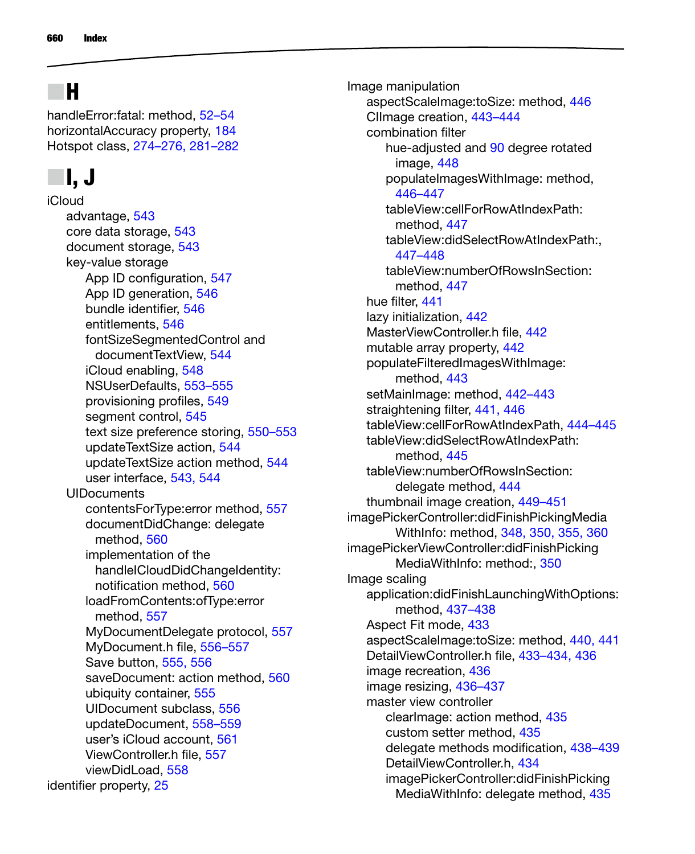## N **H**

handleError:fatal: method, 52–54 horizontalAccuracy property, 184 Hotspot class, 274–276, 281–282

## N **I, J**

iCloud advantage, 543 core data storage, 543 document storage, 543 key-value storage App ID configuration, 547 App ID generation, 546 bundle identifier, 546 entitlements, 546 fontSizeSegmentedControl and documentTextView, 544 iCloud enabling, 548 NSUserDefaults, 553–555 provisioning profiles, 549 segment control, 545 text size preference storing, 550–553 updateTextSize action, 544 updateTextSize action method, 544 user interface, 543, 544 **UIDocuments** contentsForType:error method, 557 documentDidChange: delegate method, 560 implementation of the handleICloudDidChangeIdentity: notification method, 560 loadFromContents:ofType:error method, 557 MyDocumentDelegate protocol, 557 MyDocument.h file, 556–557 Save button, 555, 556 saveDocument: action method, 560 ubiquity container, 555 UIDocument subclass, 556 updateDocument, 558–559 user's iCloud account, 561 ViewController.h file, 557 viewDidLoad, 558 identifier property, 25

Image manipulation aspectScaleImage:toSize: method, 446 CIImage creation, 443–444 combination filter hue-adjusted and 90 degree rotated image, 448 populateImagesWithImage: method, 446–447 tableView:cellForRowAtIndexPath: method, 447 tableView:didSelectRowAtIndexPath:, 447–448 tableView:numberOfRowsInSection: method, 447 hue filter, 441 lazy initialization, 442 MasterViewController.h file, 442 mutable array property, 442 populateFilteredImagesWithImage: method, 443 setMainImage: method, 442–443 straightening filter, 441, 446 tableView:cellForRowAtIndexPath, 444–445 tableView:didSelectRowAtIndexPath: method, 445 tableView:numberOfRowsInSection: delegate method, 444 thumbnail image creation, 449–451 imagePickerController:didFinishPickingMedia WithInfo: method, 348, 350, 355, 360 imagePickerViewController:didFinishPicking MediaWithInfo: method:, 350 Image scaling application:didFinishLaunchingWithOptions: method, 437–438 Aspect Fit mode, 433 aspectScaleImage:toSize: method, 440, 441 DetailViewController.h file, 433–434, 436 image recreation, 436 image resizing, 436–437 master view controller clearImage: action method, 435 custom setter method, 435 delegate methods modification, 438–439 DetailViewController.h, 434 imagePickerController:didFinishPicking MediaWithInfo: delegate method, 435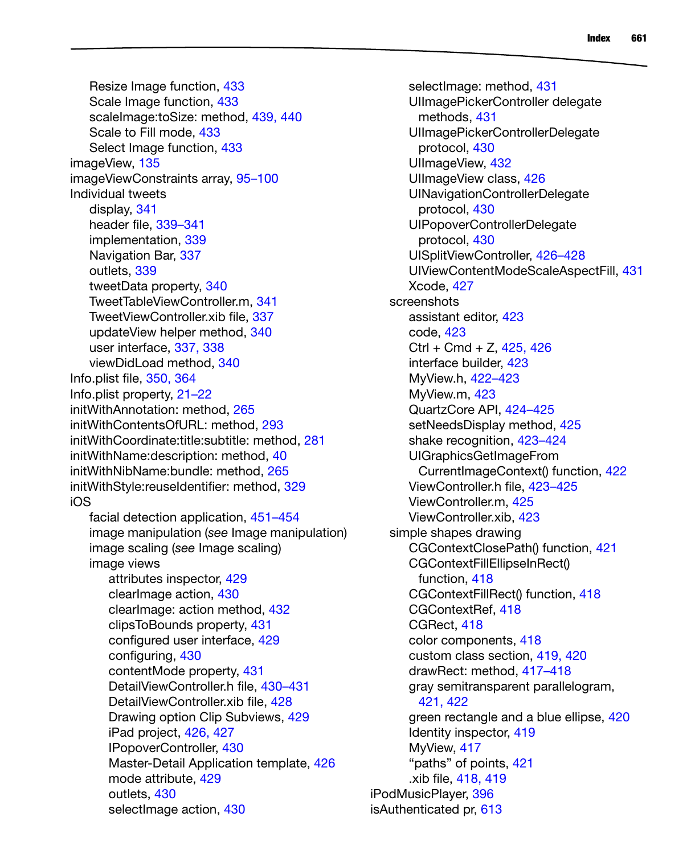Resize Image function, 433 Scale Image function, 433 scaleImage:toSize: method, 439, 440 Scale to Fill mode, 433 Select Image function, 433 imageView, 135 imageViewConstraints array, 95–100 Individual tweets display, 341 header file, 339–341 implementation, 339 Navigation Bar, 337 outlets, 339 tweetData property, 340 TweetTableViewController.m, 341 TweetViewController.xib file, 337 updateView helper method, 340 user interface, 337, 338 viewDidLoad method, 340 Info.plist file, 350, 364 Info.plist property, 21–22 initWithAnnotation: method, 265 initWithContentsOfURL: method, 293 initWithCoordinate:title:subtitle: method, 281 initWithName:description: method, 40 initWithNibName:bundle: method, 265 initWithStyle:reuseIdentifier: method, 329 iOS facial detection application, 451–454 image manipulation (*see* Image manipulation) image scaling (*see* Image scaling) image views attributes inspector, 429 clearImage action, 430 clearImage: action method, 432 clipsToBounds property, 431 configured user interface, 429 configuring, 430 contentMode property, 431 DetailViewController.h file, 430–431 DetailViewController.xib file, 428 Drawing option Clip Subviews, 429 iPad project, 426, 427 IPopoverController, 430 Master-Detail Application template, 426 mode attribute, 429 outlets, 430

selectImage action, 430

selectImage: method, 431 UIImagePickerController delegate methods, 431 UIImagePickerControllerDelegate protocol, 430 UIImageView, 432 UIImageView class, 426 UINavigationControllerDelegate protocol, 430 UIPopoverControllerDelegate protocol, 430 UISplitViewController, 426–428 UIViewContentModeScaleAspectFill, 431 Xcode, 427 screenshots assistant editor, 423 code, 423  $Ctrl + Cmd + Z, 425, 426$ interface builder, 423 MyView.h, 422–423 MyView.m, 423 QuartzCore API, 424–425 setNeedsDisplay method, 425 shake recognition, 423–424 UIGraphicsGetImageFrom CurrentImageContext() function, 422 ViewController.h file, 423–425 ViewController.m, 425 ViewController.xib, 423 simple shapes drawing CGContextClosePath() function, 421 CGContextFillEllipseInRect() function, 418 CGContextFillRect() function, 418 CGContextRef, 418 CGRect, 418 color components, 418 custom class section, 419, 420 drawRect: method, 417–418 gray semitransparent parallelogram, 421, 422 green rectangle and a blue ellipse, 420 Identity inspector, 419 MyView, 417 "paths" of points, 421 .xib file, 418, 419 iPodMusicPlayer, 396 isAuthenticated pr, 613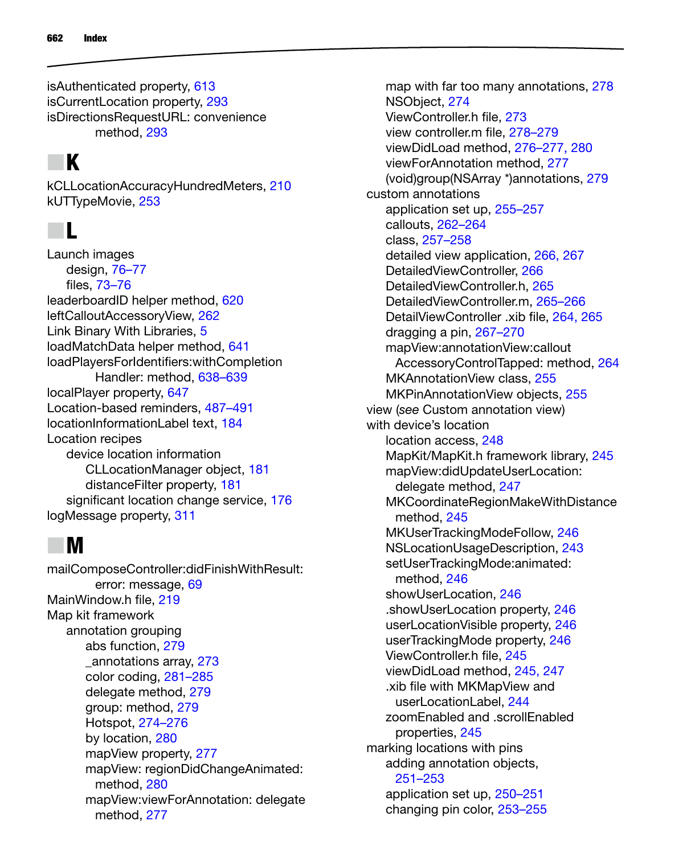isAuthenticated property, 613 isCurrentLocation property, 293 isDirectionsRequestURL: convenience method, 293

## N **K**

kCLLocationAccuracyHundredMeters, 210 kUTTypeMovie, 253

#### N **L**

Launch images design, 76–77 files, 73–76 leaderboardID helper method, 620 leftCalloutAccessoryView, 262 Link Binary With Libraries, 5 loadMatchData helper method, 641 loadPlayersForIdentifiers:withCompletion Handler: method, 638–639 localPlayer property, 647 Location-based reminders, 487–491 locationInformationLabel text, 184 Location recipes device location information CLLocationManager object, 181 distanceFilter property, 181 significant location change service, 176 logMessage property, 311

#### N **M**

mailComposeController:didFinishWithResult: error: message, 69 MainWindow.h file, 219 Map kit framework annotation grouping abs function, 279 \_annotations array, 273 color coding, 281–285 delegate method, 279 group: method, 279 Hotspot, 274–276 by location, 280 mapView property, 277 mapView: regionDidChangeAnimated: method, 280 mapView:viewForAnnotation: delegate method, 277

map with far too many annotations, 278 NSObject, 274 ViewController.h file, 273 view controller.m file, 278–279 viewDidLoad method, 276–277, 280 viewForAnnotation method, 277 (void)group(NSArray \*)annotations, 279 custom annotations application set up, 255–257 callouts, 262–264 class, 257–258 detailed view application, 266, 267 DetailedViewController, 266 DetailedViewController.h, 265 DetailedViewController.m, 265–266 DetailViewController .xib file, 264, 265 dragging a pin, 267–270 mapView:annotationView:callout AccessoryControlTapped: method, 264 MKAnnotationView class, 255 MKPinAnnotationView objects, 255 view (*see* Custom annotation view) with device's location location access, 248 MapKit/MapKit.h framework library, 245 mapView:didUpdateUserLocation: delegate method, 247 MKCoordinateRegionMakeWithDistance method, 245 MKUserTrackingModeFollow, 246 NSLocationUsageDescription, 243 setUserTrackingMode:animated: method, 246 showUserLocation, 246 .showUserLocation property, 246 userLocationVisible property, 246 userTrackingMode property, 246 ViewController.h file, 245 viewDidLoad method, 245, 247 .xib file with MKMapView and userLocationLabel, 244 zoomEnabled and .scrollEnabled properties, 245 marking locations with pins adding annotation objects, 251–253 application set up, 250–251 changing pin color, 253–255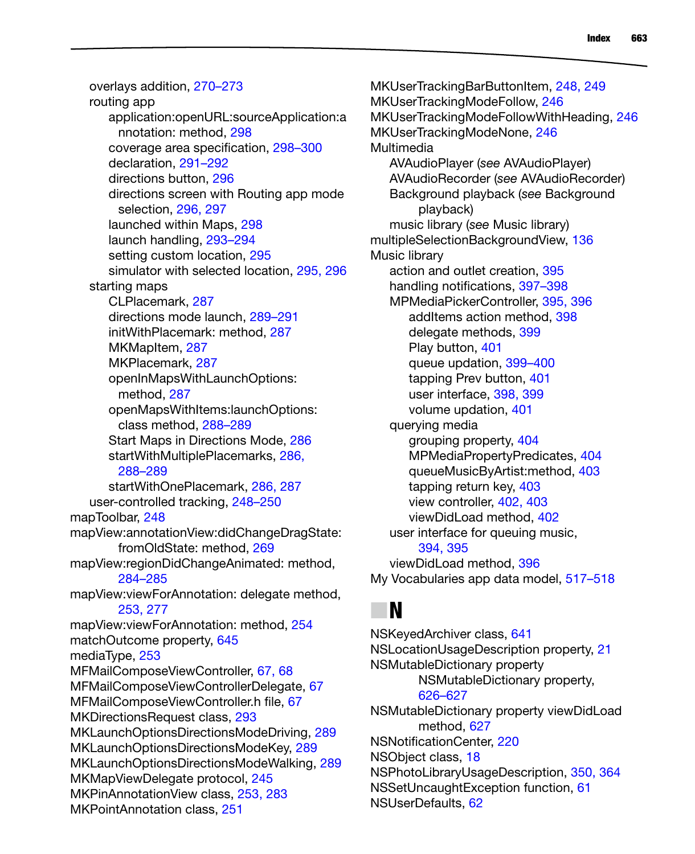overlays addition, 270–273 routing app application:openURL:sourceApplication:a nnotation: method, 298 coverage area specification, 298–300 declaration, 291–292 directions button, 296 directions screen with Routing app mode selection, 296, 297 launched within Maps, 298 launch handling, 293–294 setting custom location, 295 simulator with selected location, 295, 296 starting maps CLPlacemark, 287 directions mode launch, 289–291 initWithPlacemark: method, 287 MKMapItem, 287 MKPlacemark, 287 openInMapsWithLaunchOptions: method, 287 openMapsWithItems:launchOptions: class method, 288–289 Start Maps in Directions Mode, 286 startWithMultiplePlacemarks, 286, 288–289 startWithOnePlacemark, 286, 287 user-controlled tracking, 248–250 mapToolbar, 248 mapView:annotationView:didChangeDragState: fromOldState: method, 269 mapView:regionDidChangeAnimated: method, 284–285 mapView:viewForAnnotation: delegate method, 253, 277 mapView:viewForAnnotation: method, 254 matchOutcome property, 645 mediaType, 253 MFMailComposeViewController, 67, 68 MFMailComposeViewControllerDelegate, 67 MFMailComposeViewController.h file, 67 MKDirectionsRequest class, 293 MKLaunchOptionsDirectionsModeDriving, 289 MKLaunchOptionsDirectionsModeKey, 289 MKLaunchOptionsDirectionsModeWalking, 289 MKMapViewDelegate protocol, 245 MKPinAnnotationView class, 253, 283 MKPointAnnotation class, 251

MKUserTrackingBarButtonItem, 248, 249 MKUserTrackingModeFollow, 246 MKUserTrackingModeFollowWithHeading, 246 MKUserTrackingModeNone, 246 **Multimedia** AVAudioPlayer (*see* AVAudioPlayer) AVAudioRecorder (*see* AVAudioRecorder) Background playback (*see* Background playback) music library (*see* Music library) multipleSelectionBackgroundView, 136 Music library action and outlet creation, 395 handling notifications, 397–398 MPMediaPickerController, 395, 396 addItems action method, 398 delegate methods, 399 Play button, 401 queue updation, 399–400 tapping Prev button, 401 user interface, 398, 399 volume updation, 401 querying media grouping property, 404 MPMediaPropertyPredicates, 404 queueMusicByArtist:method, 403 tapping return key, 403 view controller, 402, 403 viewDidLoad method, 402 user interface for queuing music, 394, 395 viewDidLoad method, 396 My Vocabularies app data model, 517–518

#### N **N**

NSKeyedArchiver class, 641 NSLocationUsageDescription property, 21 NSMutableDictionary property NSMutableDictionary property, 626–627 NSMutableDictionary property viewDidLoad method, 627 NSNotificationCenter, 220 NSObject class, 18 NSPhotoLibraryUsageDescription, 350, 364 NSSetUncaughtException function, 61 NSUserDefaults, 62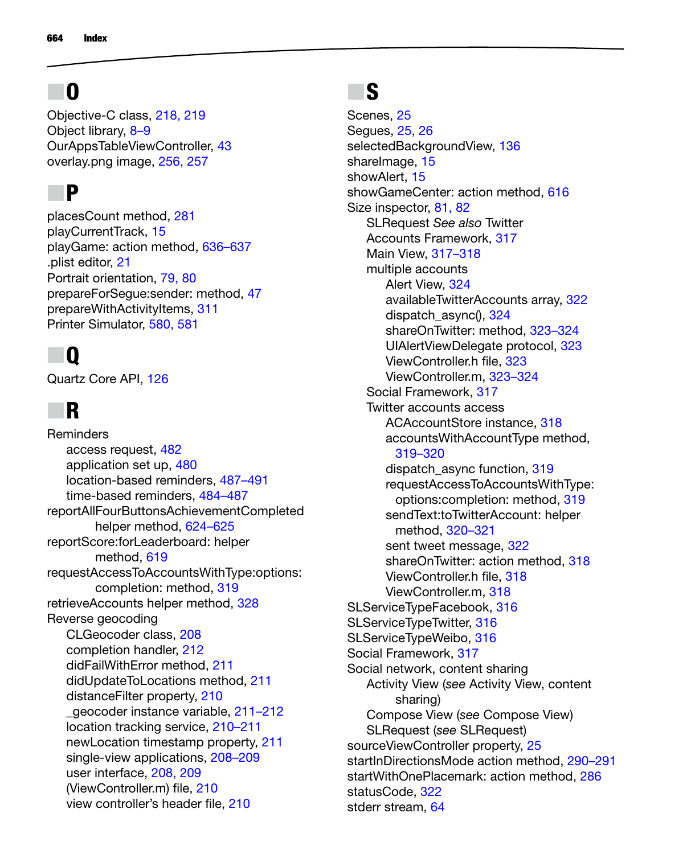# N **O**

Objective-C class, 218, 219 Object library, 8–9 OurAppsTableViewController, 43 overlay.png image, 256, 257

#### N **P**

placesCount method, 281 playCurrentTrack, 15 playGame: action method, 636–637 .plist editor, 21 Portrait orientation, 79, 80 prepareForSegue:sender: method, 47 prepareWithActivityItems, 311 Printer Simulator, 580, 581

# N **Q**

Quartz Core API, 126

# N **R**

**Reminders** access request, 482 application set up, 480 location-based reminders, 487–491 time-based reminders, 484–487 reportAllFourButtonsAchievementCompleted helper method, 624–625 reportScore:forLeaderboard: helper method, 619 requestAccessToAccountsWithType:options: completion: method, 319 retrieveAccounts helper method, 328 Reverse geocoding CLGeocoder class, 208 completion handler, 212 didFailWithError method, 211 didUpdateToLocations method, 211 distanceFilter property, 210 \_geocoder instance variable, 211–212 location tracking service, 210–211 newLocation timestamp property, 211 single-view applications, 208–209 user interface, 208, 209 (ViewController.m) file, 210 view controller's header file, 210

## N **S**

Scenes, 25 Segues, 25, 26 selectedBackgroundView, 136 shareImage, 15 showAlert<sub>15</sub> showGameCenter: action method, 616 Size inspector, 81, 82 SLRequest *See also* Twitter Accounts Framework, 317 Main View, 317–318 multiple accounts Alert View, 324 availableTwitterAccounts array, 322 dispatch\_async(), 324 shareOnTwitter: method, 323–324 UIAlertViewDelegate protocol, 323 ViewController.h file, 323 ViewController.m, 323–324 Social Framework, 317 Twitter accounts access ACAccountStore instance, 318 accountsWithAccountType method, 319–320 dispatch async function, 319 requestAccessToAccountsWithType: options:completion: method, 319 sendText:toTwitterAccount: helper method, 320–321 sent tweet message, 322 shareOnTwitter: action method, 318 ViewController.h file, 318 ViewController.m, 318 SLServiceTypeFacebook, 316 SLServiceTypeTwitter, 316 SLServiceTypeWeibo, 316 Social Framework, 317 Social network, content sharing Activity View (*see* Activity View, content sharing) Compose View (*see* Compose View) SLRequest (*see* SLRequest) sourceViewController property, 25 startInDirectionsMode action method, 290-291 startWithOnePlacemark: action method, 286 statusCode, 322 stderr stream, 64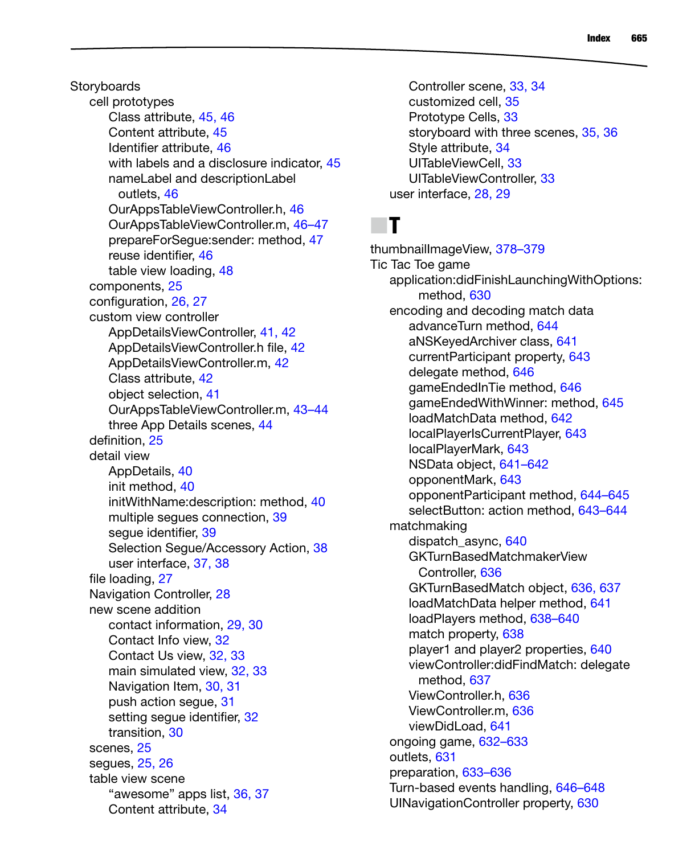**Storyboards** cell prototypes Class attribute, 45, 46 Content attribute, 45 Identifier attribute, 46 with labels and a disclosure indicator, 45 nameLabel and descriptionLabel outlets, 46 OurAppsTableViewController.h, 46 OurAppsTableViewController.m, 46–47 prepareForSegue:sender: method, 47 reuse identifier, 46 table view loading, 48 components, 25 configuration, 26, 27 custom view controller AppDetailsViewController, 41, 42 AppDetailsViewController.h file, 42 AppDetailsViewController.m, 42 Class attribute, 42 object selection, 41 OurAppsTableViewController.m, 43–44 three App Details scenes, 44 definition, 25 detail view AppDetails, 40 init method, 40 initWithName:description: method, 40 multiple segues connection, 39 segue identifier, 39 Selection Segue/Accessory Action, 38 user interface, 37, 38 file loading, 27 Navigation Controller, 28 new scene addition contact information, 29, 30 Contact Info view, 32 Contact Us view, 32, 33 main simulated view, 32, 33 Navigation Item, 30, 31 push action segue, 31 setting segue identifier, 32 transition, 30 scenes, 25 segues, 25, 26 table view scene "awesome" apps list, 36, 37 Content attribute, 34

Controller scene, 33, 34 customized cell, 35 Prototype Cells, 33 storyboard with three scenes, 35, 36 Style attribute, 34 UITableViewCell, 33 UITableViewController, 33 user interface, 28, 29

## N **T**

thumbnailImageView, 378–379 Tic Tac Toe game application:didFinishLaunchingWithOptions: method, 630 encoding and decoding match data advanceTurn method, 644 aNSKeyedArchiver class, 641 currentParticipant property, 643 delegate method, 646 gameEndedInTie method, 646 gameEndedWithWinner: method, 645 loadMatchData method, 642 localPlayerIsCurrentPlayer, 643 localPlayerMark, 643 NSData object, 641–642 opponentMark, 643 opponentParticipant method, 644–645 selectButton: action method, 643–644 matchmaking dispatch\_async, 640 GKTurnBasedMatchmakerView Controller, 636 GKTurnBasedMatch object, 636, 637 loadMatchData helper method, 641 loadPlayers method, 638–640 match property, 638 player1 and player2 properties, 640 viewController:didFindMatch: delegate method, 637 ViewController.h, 636 ViewController.m, 636 viewDidLoad, 641 ongoing game, 632–633 outlets, 631 preparation, 633–636 Turn-based events handling, 646–648 UINavigationController property, 630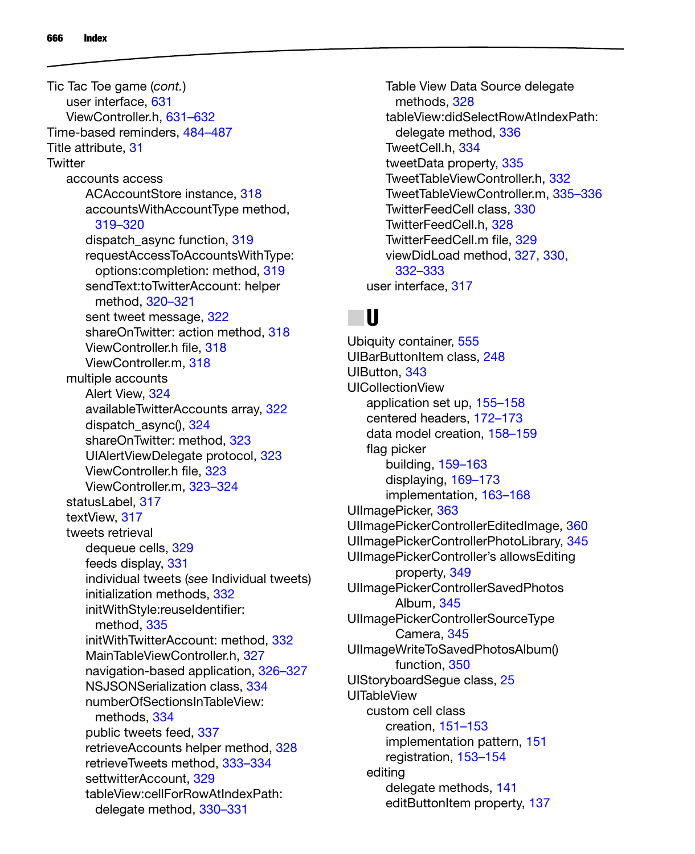user interface, 631 ViewController.h, 631–632 Time-based reminders, 484–487 Title attribute, 31 **Twitter** accounts access ACAccountStore instance, 318 accountsWithAccountType method, 319–320 dispatch\_async function, 319 requestAccessToAccountsWithType: options:completion: method, 319 sendText:toTwitterAccount: helper method, 320–321 sent tweet message, 322 shareOnTwitter: action method, 318 ViewController.h file, 318 ViewController.m, 318 multiple accounts Alert View, 324 availableTwitterAccounts array, 322 dispatch\_async(), 324 shareOnTwitter: method, 323 UIAlertViewDelegate protocol, 323 ViewController.h file, 323 ViewController.m, 323–324 statusLabel, 317 textView, 317 tweets retrieval dequeue cells, 329 feeds display, 331 individual tweets (*see* Individual tweets) initialization methods, 332 initWithStyle:reuseIdentifier: method, 335 initWithTwitterAccount: method, 332 MainTableViewController.h, 327 navigation-based application, 326–327 NSJSONSerialization class, 334 numberOfSectionsInTableView: methods, 334 public tweets feed, 337 retrieveAccounts helper method, 328 retrieveTweets method, 333–334 settwitterAccount, 329 tableView:cellForRowAtIndexPath: delegate method, 330–331 Tic Tac Toe game (*cont.*)

Table View Data Source delegate methods, 328 tableView:didSelectRowAtIndexPath: delegate method, 336 TweetCell.h, 334 tweetData property, 335 TweetTableViewController.h, 332 TweetTableViewController.m, 335–336 TwitterFeedCell class, 330 TwitterFeedCell.h, 328 TwitterFeedCell.m file, 329 viewDidLoad method, 327, 330, 332–333 user interface, 317

#### N **U**

Ubiquity container, 555 UIBarButtonItem class, 248 UIButton, 343 UICollectionView application set up, 155–158 centered headers, 172–173 data model creation, 158–159 flag picker building, 159–163 displaying, 169–173 implementation, 163–168 UIImagePicker, 363 UIImagePickerControllerEditedImage, 360 UIImagePickerControllerPhotoLibrary, 345 UIImagePickerController's allowsEditing property, 349 UIImagePickerControllerSavedPhotos Album, 345 UIImagePickerControllerSourceType Camera, 345 UIImageWriteToSavedPhotosAlbum() function, 350 UIStoryboardSegue class, 25 UITableView custom cell class creation, 151–153 implementation pattern, 151 registration, 153–154 editing delegate methods, 141 editButtonItem property, 137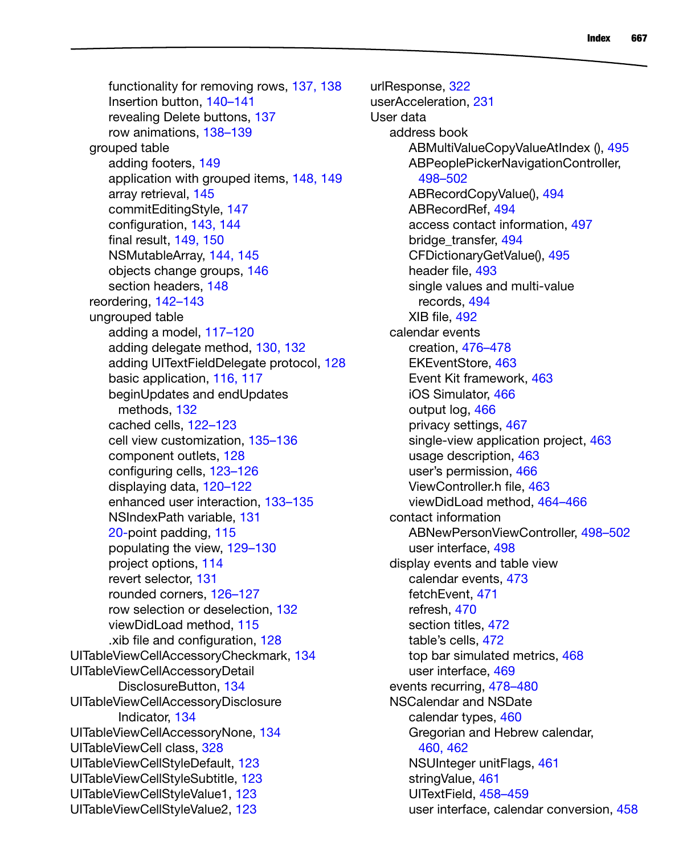functionality for removing rows, 137, 138 Insertion button, 140–141 revealing Delete buttons, 137 row animations, 138–139 grouped table adding footers, 149 application with grouped items, 148, 149 array retrieval, 145 commitEditingStyle, 147 configuration, 143, 144 final result, 149, 150 NSMutableArray, 144, 145 objects change groups, 146 section headers, 148 reordering, 142–143 ungrouped table adding a model, 117–120 adding delegate method, 130, 132 adding UITextFieldDelegate protocol, 128 basic application, 116, 117 beginUpdates and endUpdates methods, 132 cached cells, 122–123 cell view customization, 135–136 component outlets, 128 configuring cells, 123–126 displaying data, 120–122 enhanced user interaction, 133–135 NSIndexPath variable, 131 20-point padding, 115 populating the view, 129–130 project options, 114 revert selector, 131 rounded corners, 126–127 row selection or deselection, 132 viewDidLoad method, 115 .xib file and configuration, 128 UITableViewCellAccessoryCheckmark, 134 UITableViewCellAccessoryDetail DisclosureButton, 134 UITableViewCellAccessoryDisclosure Indicator, 134 UITableViewCellAccessoryNone, 134 UITableViewCell class, 328 UITableViewCellStyleDefault, 123 UITableViewCellStyleSubtitle, 123 UITableViewCellStyleValue1, 123 UITableViewCellStyleValue2, 123

urlResponse, 322 userAcceleration, 231 User data address book ABMultiValueCopyValueAtIndex (), 495 ABPeoplePickerNavigationController, 498–502 ABRecordCopyValue(), 494 ABRecordRef, 494 access contact information, 497 bridge\_transfer, 494 CFDictionaryGetValue(), 495 header file, 493 single values and multi-value records, 494 XIB file, 492 calendar events creation, 476–478 EKEventStore, 463 Event Kit framework, 463 iOS Simulator, 466 output log, 466 privacy settings, 467 single-view application project, 463 usage description, 463 user's permission, 466 ViewController.h file, 463 viewDidLoad method, 464–466 contact information ABNewPersonViewController, 498–502 user interface, 498 display events and table view calendar events, 473 fetchEvent, 471 refresh, 470 section titles, 472 table's cells, 472 top bar simulated metrics, 468 user interface, 469 events recurring, 478–480 NSCalendar and NSDate calendar types, 460 Gregorian and Hebrew calendar, 460, 462 NSUInteger unitFlags, 461 stringValue, 461 UITextField, 458–459 user interface, calendar conversion, 458